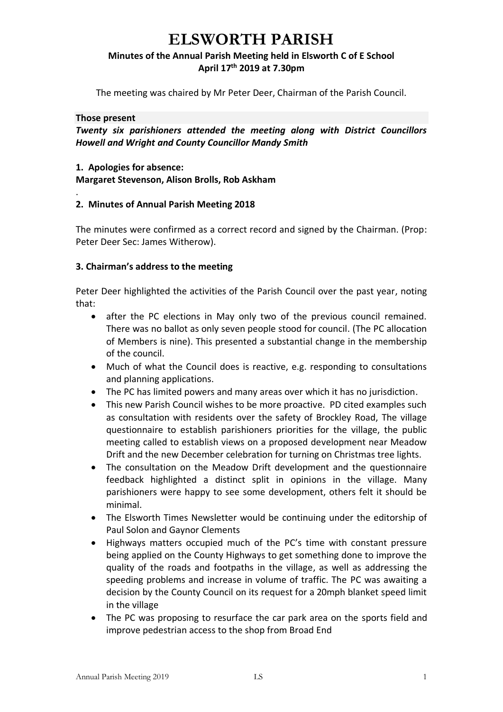## **ELSWORTH PARISH**

### **Minutes of the Annual Parish Meeting held in Elsworth C of E School April 17 th 2019 at 7.30pm**

The meeting was chaired by Mr Peter Deer, Chairman of the Parish Council.

#### **Those present**

.

*Twenty six parishioners attended the meeting along with District Councillors Howell and Wright and County Councillor Mandy Smith*

#### **1. Apologies for absence:**

**Margaret Stevenson, Alison Brolls, Rob Askham** 

#### **2. Minutes of Annual Parish Meeting 2018**

The minutes were confirmed as a correct record and signed by the Chairman. (Prop: Peter Deer Sec: James Witherow).

#### **3. Chairman's address to the meeting**

Peter Deer highlighted the activities of the Parish Council over the past year, noting that:

- after the PC elections in May only two of the previous council remained. There was no ballot as only seven people stood for council. (The PC allocation of Members is nine). This presented a substantial change in the membership of the council.
- Much of what the Council does is reactive, e.g. responding to consultations and planning applications.
- The PC has limited powers and many areas over which it has no jurisdiction.
- This new Parish Council wishes to be more proactive. PD cited examples such as consultation with residents over the safety of Brockley Road, The village questionnaire to establish parishioners priorities for the village, the public meeting called to establish views on a proposed development near Meadow Drift and the new December celebration for turning on Christmas tree lights.
- The consultation on the Meadow Drift development and the questionnaire feedback highlighted a distinct split in opinions in the village. Many parishioners were happy to see some development, others felt it should be minimal.
- The Elsworth Times Newsletter would be continuing under the editorship of Paul Solon and Gaynor Clements
- Highways matters occupied much of the PC's time with constant pressure being applied on the County Highways to get something done to improve the quality of the roads and footpaths in the village, as well as addressing the speeding problems and increase in volume of traffic. The PC was awaiting a decision by the County Council on its request for a 20mph blanket speed limit in the village
- The PC was proposing to resurface the car park area on the sports field and improve pedestrian access to the shop from Broad End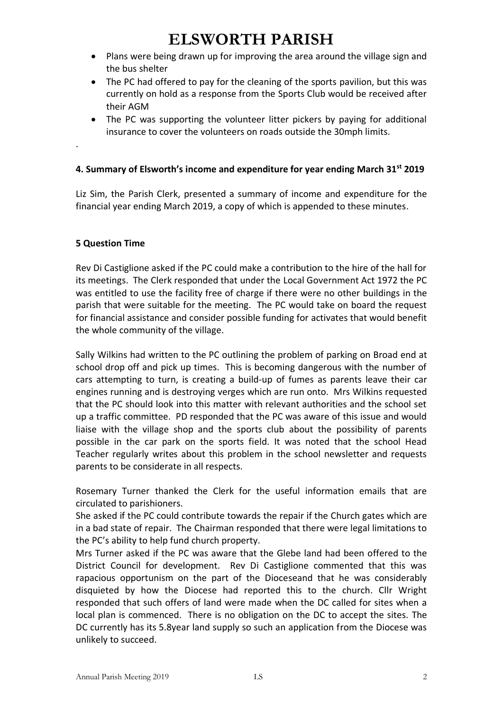# **ELSWORTH PARISH**

- Plans were being drawn up for improving the area around the village sign and the bus shelter
- The PC had offered to pay for the cleaning of the sports pavilion, but this was currently on hold as a response from the Sports Club would be received after their AGM
- The PC was supporting the volunteer litter pickers by paying for additional insurance to cover the volunteers on roads outside the 30mph limits.

### **4. Summary of Elsworth's income and expenditure for year ending March 31st 2019**

Liz Sim, the Parish Clerk, presented a summary of income and expenditure for the financial year ending March 2019, a copy of which is appended to these minutes.

#### **5 Question Time**

.

Rev Di Castiglione asked if the PC could make a contribution to the hire of the hall for its meetings. The Clerk responded that under the Local Government Act 1972 the PC was entitled to use the facility free of charge if there were no other buildings in the parish that were suitable for the meeting. The PC would take on board the request for financial assistance and consider possible funding for activates that would benefit the whole community of the village.

Sally Wilkins had written to the PC outlining the problem of parking on Broad end at school drop off and pick up times. This is becoming dangerous with the number of cars attempting to turn, is creating a build-up of fumes as parents leave their car engines running and is destroying verges which are run onto. Mrs Wilkins requested that the PC should look into this matter with relevant authorities and the school set up a traffic committee. PD responded that the PC was aware of this issue and would liaise with the village shop and the sports club about the possibility of parents possible in the car park on the sports field. It was noted that the school Head Teacher regularly writes about this problem in the school newsletter and requests parents to be considerate in all respects.

Rosemary Turner thanked the Clerk for the useful information emails that are circulated to parishioners.

She asked if the PC could contribute towards the repair if the Church gates which are in a bad state of repair. The Chairman responded that there were legal limitations to the PC's ability to help fund church property.

Mrs Turner asked if the PC was aware that the Glebe land had been offered to the District Council for development. Rev Di Castiglione commented that this was rapacious opportunism on the part of the Dioceseand that he was considerably disquieted by how the Diocese had reported this to the church. Cllr Wright responded that such offers of land were made when the DC called for sites when a local plan is commenced. There is no obligation on the DC to accept the sites. The DC currently has its 5.8year land supply so such an application from the Diocese was unlikely to succeed.